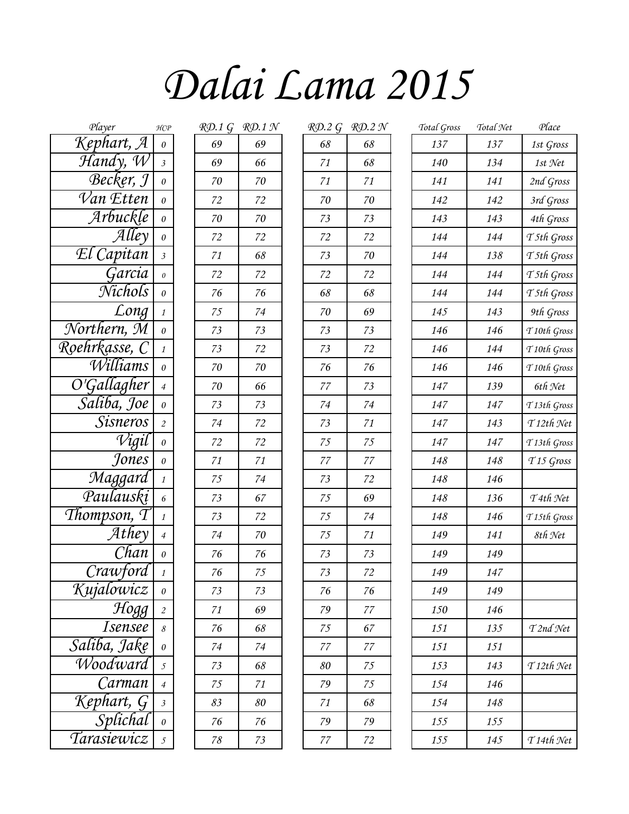## *Dalai Lama 2015*

| Player                                       | H C P                     |        | $R\mathcal{D}$ .1 G $R\mathcal{D}$ .1 N |        | $R$ D.2 G RD.2 N | Total Gross | Total <sup>9</sup> |
|----------------------------------------------|---------------------------|--------|-----------------------------------------|--------|------------------|-------------|--------------------|
| Kephart, A                                   | 0                         | 69     | 69                                      | 68     | 68               | 137         | 137                |
| $\overline{\mathcal{H}}$ andy, $\mathcal{W}$ | $\mathfrak{Z}$            | 69     | 66                                      | 71     | 68               | 140         | 134                |
| Becker, J                                    | $\theta$                  | 70     | 70                                      | 71     | 71               | 141         | 141                |
| $\overline{\mathcal{V}}$ an Etten            | 0                         | 72     | 72                                      | $70\,$ | 70               | 142         | 142                |
| Arbuckle                                     | $\theta$                  | $70\,$ | 70                                      | 73     | 73               | 143         | 143                |
| $\mathcal{A}$ lley                           | $\boldsymbol{\mathit{0}}$ | 72     | 72                                      | 72     | 72               | 144         | 144                |
| El Capitan                                   | $\mathfrak{Z}$            | 71     | 68                                      | 73     | 70               | 144         | 138                |
| Garcia                                       | 0                         | 72     | 72                                      | 72     | 72               | 144         | 144                |
| Nichols                                      | $\boldsymbol{\theta}$     | 76     | 76                                      | 68     | 68               | 144         | 144                |
| $\overline{L}$ ong                           | $\mathcal{I}$             | 75     | 74                                      | $70\,$ | 69               | 145         | 143                |
| Northern, M                                  | $\boldsymbol{\theta}$     | 73     | 73                                      | 73     | 73               | 146         | 146                |
| Roehrkasse, C                                | $\mathcal{I}$             | 73     | 72                                      | 73     | 72               | 146         | 144                |
| Williams                                     | $\boldsymbol{\theta}$     | $70\,$ | 70                                      | 76     | 76               | 146         | 146                |
| O'Gallagher                                  | $\overline{4}$            | 70     | 66                                      | $77\,$ | 73               | 147         | 139                |
| Saliba, Joe                                  | $\boldsymbol{\theta}$     | 73     | 73                                      | 74     | 74               | 147         | 147                |
| Sisneros                                     | $\overline{2}$            | 74     | 72                                      | 73     | 71               | 147         | 143                |
| Vigil                                        | $\boldsymbol{\theta}$     | 72     | 72                                      | 75     | 75               | 147         | 147                |
| Jones                                        | $\boldsymbol{\theta}$     | 71     | 71                                      | $77\,$ | $77\,$           | 148         | 148                |
| Maggard                                      | $\mathbf{1}$              | 75     | 74                                      | 73     | 72               | 148         | 146                |
| Paulauskį                                    | $\epsilon$                | 73     | 67                                      | 75     | 69               | 148         | 136                |
| Thompson, $\tau$                             | $\mathbf{1}$              | 73     | 72                                      | 75     | 74               | 148         | 146                |
| Athey                                        | $\overline{4}$            | 74     | 70                                      | 75     | 71               | 149         | 141                |
| Chan                                         | $\boldsymbol{\theta}$     | 76     | 76                                      | 73     | 73               | 149         | 149                |
| Crawford                                     | 1                         | $76\,$ | 75                                      | $73\,$ | 72               | 149         | 147                |
| Kujalowicz                                   | $\boldsymbol{\theta}$     | 73     | 73                                      | 76     | 76               | 149         | 149                |
| $\frac{1}{\sqrt{10gg}}$                      | $\overline{c}$            | 71     | 69                                      | 79     | 77               | 150         | 146                |
| <i>Isensee</i>                               | $\mathcal S$              | 76     | 68                                      | 75     | 67               | 151         | 135                |
| Saliba, Jake                                 | $\theta$                  | 74     | 74                                      | 77     | 77               | 151         | 151                |
| Woodward                                     | $\mathfrak{I}$            | 73     | 68                                      | 80     | 75               | 153         | 143                |
| Carman                                       | $\overline{4}$            | 75     | 71                                      | 79     | 75               | 154         | 146                |
|                                              |                           | 83     | 80                                      | 71     | 68               | 154         | 148                |
| Kephart, G<br>Splichal<br>Tarasiewicz        |                           | 76     | 76                                      | 79     | 79               | 155         | 155                |
|                                              |                           | $78\,$ | 73                                      | $77\,$ | 72               | 155         | 145                |

| <u>RD.1 G</u> | RD.1 N   |
|---------------|----------|
| 69            | 69       |
| 69            | 66       |
| 70            | $\rm 70$ |
| 72            | 72       |
| 70            | 70       |
| 72            | 72       |
| 71            | 68       |
| 72            | 72       |
| 76            | 76       |
| 75            | 74       |
| 73            | 73       |
| 73            | 72       |
| 70            | 70       |
| 70            | 66       |
| 73            | 73       |
| 74            | 72       |
| 72            | 72       |
| 71            | 71       |
| 75            | 74       |
| 73            | 67       |
| 73            | 72       |
| 74            | 70       |
| 76            | 76       |
| 76            | 75       |
| 73            | 73       |
| 71            | 69       |
| 76            | 68       |
| 74            | 74       |
| 73            | 68       |
| 75            | 71       |
| 83            | 80       |
| 76            | 76       |
| 78            | 73       |

| Player                          | HCP                       | KD.1 G | KD.1 Y | KD.2 G | KD.Z IN | Total Gross | Uotal T |
|---------------------------------|---------------------------|--------|--------|--------|---------|-------------|---------|
| ephart, A                       | $\boldsymbol{\mathit{0}}$ | 69     | 69     | 68     | 68      | 137         | 137     |
| ʻlandγ, W                       | $\mathfrak{Z}$            | 69     | 66     | 71     | 68      | 140         | 134     |
| Becker, J                       | $\boldsymbol{\mathit{0}}$ | 70     | $70\,$ | 71     | 71      | 141         | 141     |
| <sup>7</sup> an Etten           | $\boldsymbol{\mathit{0}}$ | 72     | 72     | 70     | $70\,$  | 142         | 142     |
| Arbuckle                        | 0                         | $70\,$ | $70\,$ | 73     | 73      | 143         | 143     |
| Alley                           | $\boldsymbol{\mathit{0}}$ | 72     | 72     | 72     | 72      | 144         | 144     |
| I Capitan                       | $\mathfrak{Z}$            | 71     | $68\,$ | 73     | $70\,$  | 144         | 138     |
| Garcia                          | $\boldsymbol{\theta}$     | 72     | 72     | 72     | 72      | 144         | 144     |
| Nichols                         | $\boldsymbol{\mathit{0}}$ | 76     | 76     | 68     | 68      | 144         | 144     |
| $\overline{Long}$               | $\mathcal{I}$             | 75     | 74     | 70     | 69      | 145         | 143     |
| rthern, M                       | $\boldsymbol{\mathit{0}}$ | 73     | 73     | 73     | 73      | 146         | 146     |
| hrkasse, C                      | 1                         | 73     | 72     | 73     | 72      | 146         | 144     |
| Williams                        | $\theta$                  | 70     | 70     | 76     | 76      | 146         | 146     |
| 'Gallagher                      | $\overline{4}$            | 70     | 66     | 77     | 73      | 147         | 139     |
| <sup>r</sup> aliba, Joe         | 0                         | 73     | 73     | 74     | 74      | 147         | 147     |
| <i>Sisneros</i>                 | $\overline{c}$            | 74     | 72     | 73     | 71      | 147         | 143     |
| Vigil                           | 0                         | 72     | 72     | 75     | 75      | 147         | 147     |
| Jones                           | 0                         | 71     | $71\,$ | 77     | 77      | 148         | 148     |
| Maggard                         | $\mathcal{I}$             | 75     | 74     | 73     | 72      | 148         | 146     |
| $\overline{\mathit{Paulauski}}$ | $\boldsymbol{6}$          | 73     | 67     | 75     | 69      | 148         | 136     |
| ompson, T                       | $\mathbf{1}$              | 73     | $72\,$ | $75\,$ | 74      | 148         | 146     |
| $\mathcal{A}$ they              | $\overline{4}$            | 74     | $70\,$ | $75\,$ | 71      | 149         | 141     |
| Chan                            | $\boldsymbol{\mathit{0}}$ | 76     | $76\,$ | 73     | 73      | 149         | 149     |
| Crawford                        | $\mathcal{I}$             | 76     | $75\,$ | $73\,$ | 72      | 149         | 147     |
| ujalowicz                       | 0                         | 73     | 73     | 76     | 76      | 149         | 149     |
| Hogg                            | $\sqrt{2}$                | 71     | 69     | 79     | 77      | 150         | 146     |
| <i>Isensee</i>                  | 8                         | 76     | 68     | 75     | 67      | 151         | 135     |
| liba, Jake                      | 0                         | 74     | 74     | $77\,$ | 77      | 151         | 151     |
| Voodward                        | 5                         | 73     | 68     | 80     | 75      | 153         | 143     |
| Carman                          | $\overline{4}$            | 75     | 71     | 79     | 75      | 154         | 146     |
|                                 | $\mathfrak{Z}$            | 83     | 80     | 71     | 68      | 154         | 148     |
| ephart, G<br>Splichal           | $\boldsymbol{\mathit{0}}$ | 76     | 76     | 79     | 79      | 155         | 155     |
| tasiewicz                       | 5                         | 78     | 73     | $77\,$ | 72      | 155         | 145     |
|                                 |                           |        |        |        |         |             |         |

| Player                            | HCP                       | $R\mathcal{D}$ .1 G | RD.1N | RD.2G  | RD.2N | Total Gross | Total Net | Place                   |
|-----------------------------------|---------------------------|---------------------|-------|--------|-------|-------------|-----------|-------------------------|
| Kephart, A                        | $\boldsymbol{\theta}$     | 69                  | 69    | 68     | 68    | 137         | 137       | 1st Gross               |
| $\mathcal{H}$ andy, $\mathcal{W}$ | $\mathfrak{Z}$            | 69                  | 66    | 71     | 68    | 140         | 134       | $1st$ Net               |
| Becker, J                         | $\theta$                  | 70                  | 70    | 71     | 71    | 141         | 141       | 2nd Gross               |
| $\overline{\mathcal{V}}$ an Etten | $\theta$                  | 72                  | 72    | 70     | 70    | 142         | 142       | 3rd Gross               |
| Arbuckle                          | $\theta$                  | 70                  | 70    | 73     | 73    | 143         | 143       | 4th Gross               |
| Alley                             | $\boldsymbol{\theta}$     | 72                  | 72    | 72     | 72    | 144         | 144       | T5th Gross              |
| El Capitan                        | $\mathfrak{Z}$            | 71                  | 68    | 73     | 70    | 144         | 138       | T5th Gross              |
| Garcia                            | $\boldsymbol{\theta}$     | 72                  | 72    | 72     | 72    | 144         | 144       | T5th Gross              |
| Nichols                           | $\theta$                  | 76                  | 76    | 68     | 68    | 144         | 144       | T5th Gross              |
| Long                              | $\mathcal{I}$             | 75                  | 74    | 70     | 69    | 145         | 143       | 9th Gross               |
| Northern, M                       | $\theta$                  | 73                  | 73    | 73     | 73    | 146         | 146       | T <sub>10th</sub> Gross |
| Roehrkasse, C                     | $\mathcal{I}$             | 73                  | 72    | 73     | 72    | 146         | 144       | T <sub>10th</sub> Gross |
| Williams                          | $\theta$                  | 70                  | 70    | 76     | 76    | 146         | 146       | T <sub>10th</sub> Gross |
| O'Gallagher                       | $\overline{4}$            | 70                  | 66    | 77     | 73    | 147         | 139       | 6th Net                 |
| Saliba, Joe                       | $\theta$                  | 73                  | 73    | 74     | 74    | 147         | 147       | T <sub>13th</sub> Gross |
| <i>Sisneros</i>                   | $\overline{c}$            | 74                  | 72    | 73     | 71    | 147         | 143       | $T12th$ Net             |
| Vigil                             | $\theta$                  | 72                  | 72    | 75     | 75    | 147         | 147       | T <sub>13th</sub> Gross |
| Jones                             | $\theta$                  | 71                  | 71    | $77\,$ | 77    | 148         | 148       | T <sub>15</sub> Gross   |
| Maggard                           | $\mathcal{I}$             | 75                  | 74    | 73     | 72    | 148         | 146       |                         |
| Paulauskį                         | 6                         | 73                  | 67    | 75     | 69    | 148         | 136       | T4th Net                |
| Thompson, T                       | $\mathcal{I}$             | 73                  | 72    | 75     | 74    | 148         | 146       | T <sub>15th</sub> Gross |
| $At \overline{h}$ ey              | $\overline{4}$            | 74                  | 70    | 75     | 71    | 149         | 141       | 8th Net                 |
| Chan                              | $\theta$                  | 76                  | 76    | 73     | 73    | 149         | 149       |                         |
| Crawford                          |                           | 76                  | 75    | 73     | 72    | 149         | 147       |                         |
| Kujalowicz                        | $\boldsymbol{\mathit{0}}$ | 73                  | 73    | 76     | 76    | 149         | 149       |                         |
| Hogg                              | $\overline{c}$            | 71                  | 69    | 79     | 77    | 150         | 146       |                         |
| <i>Isensee</i>                    | $\delta$                  | 76                  | 68    | 75     | 67    | 151         | 135       | T2nd Net                |
| Saliba, Jake                      | $\boldsymbol{0}$          | 74                  | 74    | 77     | 77    | 151         | 151       |                         |
| Woodward                          | $\overline{5}$            | 73                  | 68    | 80     | 75    | 153         | 143       | $T12th$ Net             |
| Carman                            | $\overline{4}$            | 75                  | 71    | 79     | 75    | 154         | 146       |                         |
| Kephart, G                        | $\overline{\mathfrak{z}}$ | 83                  | 80    | 71     | 68    | 154         | 148       |                         |
| Splichal                          | $\theta$                  | 76                  | 76    | 79     | 79    | 155         | 155       |                         |
| Tarasiewicz                       | $\overline{5}$            | $78\,$              | 73    | $77\,$ | 72    | 155         | 145       | $T14th$ Net             |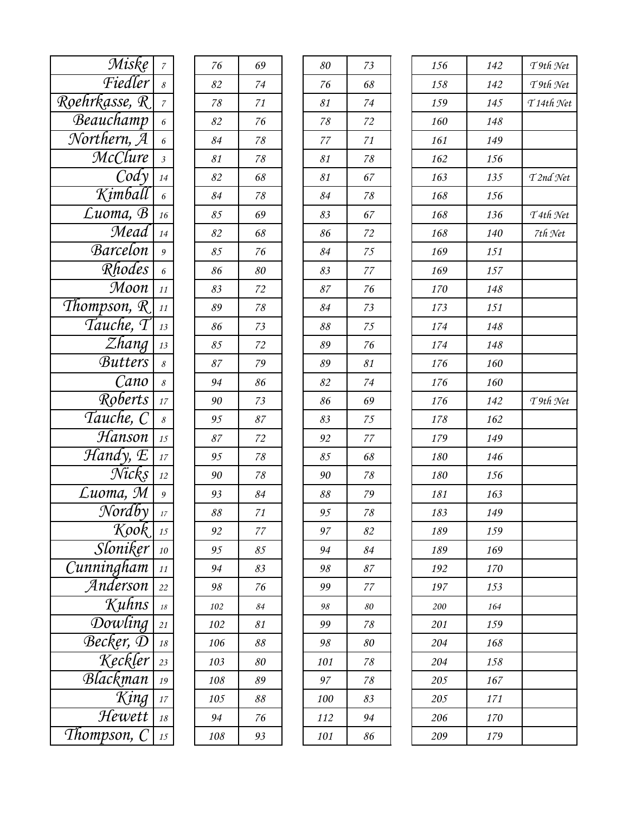| Miske                             | $\boldsymbol{7}$ | 76             | 69     | 80                       | 73     | 156 | 142 |
|-----------------------------------|------------------|----------------|--------|--------------------------|--------|-----|-----|
| Fiedler                           | $\mathcal S$     | 82             | 74     | 76                       | 68     | 158 | 142 |
| Roehrkasse, R                     | $\overline{z}$   | $78\,$         | 71     | 81                       | 74     | 159 | 145 |
| Beauchamp                         | 6                | 82             | 76     | 78                       | 72     | 160 | 148 |
| Northern, A                       | $\epsilon$       | 84             | 78     | 77                       | 71     | 161 | 149 |
| <b>McClure</b>                    | $\mathfrak{Z}$   | 81             | 78     | 81                       | 78     | 162 | 156 |
| $\mathcal{C}$ ody                 | 14               | 82             | 68     | 81                       | 67     | 163 | 135 |
| Kimball                           | 6                | 84             | 78     | 84                       | 78     | 168 | 156 |
| Luoma, B                          | 16               | 85             | 69     | 83                       | 67     | 168 | 136 |
| Mead                              | 14               | 82             | 68     | 86                       | 72     | 168 | 140 |
| Barcelon                          | $\boldsymbol{9}$ | 85             | 76     | 84                       | 75     | 169 | 151 |
| $R$ hodes                         | $\epsilon$       | 86             | 80     | 83                       | $77\,$ | 169 | 157 |
| Moon                              | 11               | 83             | 72     | $\mathcal{S}7$           | 76     | 170 | 148 |
| Thompson, $R$                     | 11               | 89             | 78     | 84                       | 73     | 173 | 151 |
| Tauche, T                         | 13               | 86             | 73     | 88                       | 75     | 174 | 148 |
| $\overline{Z}$ hang               | 13               | 85             | 72     | 89                       | 76     | 174 | 148 |
| <b>Butters</b>                    | $\mathcal S$     | $\mathcal{S}7$ | 79     | 89                       | 81     | 176 | 160 |
| Cano                              | 8                | 94             | 86     | 82                       | 74     | 176 | 160 |
| Roberts                           | 17               | 90             | 73     | 86                       | 69     | 176 | 142 |
| Tauche, C                         | $\mathcal S$     | 95             | 87     | 83                       | 75     | 178 | 162 |
| Hanson                            | 15               | $\mathcal{S}7$ | 72     | 92                       | 77     | 179 | 149 |
| $\mathcal{H}$ andy, $\mathcal{E}$ | 17               | 95             | $78\,$ | 85                       | 68     | 180 | 146 |
| Nicks                             | 12               | 90             | $78\,$ | 90                       | 78     | 180 | 156 |
| $L$ uoma, $\overline{M}$          | $\mathfrak g$    | 93             | 84     | $\mathcal{S}\mathcal{S}$ | 79     | 181 | 163 |
| Nordby                            | $17\,$           | 88             | 71     | 95                       | 78     | 183 | 149 |
| Kook                              | 15               | 92             | 77     | 97                       | 82     | 189 | 159 |
| Sloniker                          | 10               | 95             | 85     | 94                       | 84     | 189 | 169 |
| Cunningham                        | 11               | 94             | 83     | 98                       | 87     | 192 | 170 |
| Anderson                          | 22               | 98             | 76     | 99                       | 77     | 197 | 153 |
| Kuhns                             | $18\,$           | 102            | 84     | 98                       | 80     | 200 | 164 |
| Dowling                           | $21\,$           | 102            | 81     | 99                       | 78     | 201 | 159 |
| Becker, D                         | 18               | 106            | 88     | 98                       | 80     | 204 | 168 |
| Keckler                           | 23               | 103            | 80     | 101                      | 78     | 204 | 158 |
| Blackman                          | 19               | 108            | 89     | 97                       | 78     | 205 | 167 |
| $\overline{King}$                 | $17\,$           | 105            | 88     | 100                      | 83     | 205 | 171 |
| Hewett                            | $18\,$           | 94             | 76     | 112                      | 94     | 206 | 170 |
| Thompson, C                       | $15\,$           | 108            | 93     | 101                      | 86     | 209 | 179 |

| 76  | 69 |
|-----|----|
| 82  | 74 |
| 78  | 71 |
| 82  | 76 |
| 84  | 78 |
| 81  | 78 |
| 82  | 68 |
| 84  | 78 |
| 85  | 69 |
| 82  | 68 |
| 85  | 76 |
| 86  | 80 |
| 83  | 72 |
| 89  | 78 |
| 86  | 73 |
| 85  | 72 |
| 87  | 79 |
| 94  | 86 |
| 90  | 73 |
| 95  | 87 |
| 87  | 72 |
| 95  | 78 |
| 90  | 78 |
| 93  | 84 |
| 88  | 71 |
| 92  | 77 |
| 95  | 85 |
| 94  | 83 |
| 98  | 76 |
| 102 | 84 |
| 102 | 81 |
| 106 | 88 |
| 103 | 80 |
| 108 | 89 |
| 105 | 88 |
| 94  | 76 |
| 108 | 93 |

| Miske                                          | $\boldsymbol{7}$ | 76             | 69                       | 80                       | 73     | 156 | 142 |
|------------------------------------------------|------------------|----------------|--------------------------|--------------------------|--------|-----|-----|
| Fiedler                                        | 8                | 82             | 74                       | 76                       | 68     | 158 | 142 |
| hrkasse, R                                     | $\boldsymbol{7}$ | 78             | 71                       | 81                       | 74     | 159 | 145 |
| Beauchamp                                      | 6                | 82             | 76                       | $78\,$                   | 72     | 160 | 148 |
| orthern, A                                     | 6                | 84             | 78                       | 77                       | 71     | 161 | 149 |
| McClure                                        | $\mathfrak{Z}$   | 81             | 78                       | 81                       | 78     | 162 | 156 |
| $\partial$                                     | 14               | 82             | 68                       | 81                       | 67     | 163 | 135 |
| $\overline{\mathcal{R}}$ imball                | 6                | 84             | 78                       | 84                       | $78\,$ | 168 | 156 |
| Luoma, B                                       | 16               | 85             | 69                       | 83                       | 67     | 168 | 136 |
| Mead                                           | 14               | 82             | 68                       | 86                       | $72\,$ | 168 | 140 |
| Barcelon                                       | $\boldsymbol{9}$ | 85             | 76                       | 84                       | $75\,$ | 169 | 151 |
| Rhodes                                         | 6                | 86             | 80                       | 83                       | $77\,$ | 169 | 157 |
| Moon                                           | 11               | 83             | $\mathfrak{Z}2$          | $\mathcal{S}7$           | $76\,$ | 170 | 148 |
| ompson, R                                      | 11               | 89             | $78\,$                   | 84                       | $73\,$ | 173 | 151 |
| Tauche, T                                      | 13               | 86             | 73                       | $\mathcal{S}\mathcal{S}$ | $75\,$ | 174 | 148 |
| $\overline{Z}$ hang                            | 13               | 85             | $72\,$                   | 89                       | 76     | 174 | 148 |
| <b>Butters</b>                                 | $\mathcal S$     | 87             | 79                       | 89                       | 81     | 176 | 160 |
| Cano                                           | 8                | 94             | 86                       | 82                       | $74$   | 176 | 160 |
| $\sqrt{\textit{Roberts}}$                      | 17               | 90             | 73                       | 86                       | 69     | 176 | 142 |
| Tauche, C                                      | $\mathcal S$     | 95             | $\mathcal{S}7$           | 83                       | $75\,$ | 178 | 162 |
| Hanson                                         | 15               | $\mathcal{S}7$ | 72                       | 92                       | $77$   | 179 | 149 |
| $\mathcal{H}$ andy, $\mathcal{E}$              | 17               | 95             | $78\,$                   | 85                       | 68     | 180 | 146 |
| $\overline{\mathcal{N}ick}$ s                  | 12               | 90             | $78\,$                   | 90                       | $78\,$ | 180 | 156 |
| Luoma, M                                       | $\mathfrak g$    | 93             | 84                       | $\mathcal{S}\mathcal{S}$ | 79     | 181 | 163 |
| $\overline{\mathcal{N}\text{ord}b\mathcal{y}}$ |                  | 88             | 71                       | 95                       | $78\,$ | 183 | 149 |
| Kook<br>Sloniker                               | 15               | 92             | 77                       | 97                       | 82     | 189 | 159 |
|                                                | 10               | 95             | 85                       | 94                       | 84     | 189 | 169 |
| nningham                                       | 11               | 94             | 83                       | 98                       | 87     | 192 | 170 |
| Anderson                                       | 22               | 98             | 76                       | 99                       | $77\,$ | 197 | 153 |
| Kuhns                                          | $18\,$           | 102            | 84                       | 98                       | 80     | 200 | 164 |
| Dowling                                        | 21               | 102            | 81                       | 99                       | 78     | 201 | 159 |
| $\mathcal{B}$ ecker, $\mathcal{D}$             | $18\,$           | 106            | 88                       | 98                       | 80     | 204 | 168 |
| Keckler                                        | 23               | 103            | 80                       | 101                      | $78\,$ | 204 | 158 |
| Blackman                                       | 19               | 108            | 89                       | 97                       | $78\,$ | 205 | 167 |
| King                                           | $17\,$           | 105            | $\mathcal{S}\mathcal{S}$ | 100                      | 83     | 205 | 171 |
| Hewett                                         | 18               | 94             | 76                       | 112                      | 94     | 206 | 170 |
| $\omega$ mpson, $\overline{C}$                 | 15               | 108            | 93                       | 101                      | 86     | 209 | 179 |

| Miske                             | $\boldsymbol{7}$ | 76             | 69                       | 80                       | 73             | 156 | 142 | $T$ 9th Net           |
|-----------------------------------|------------------|----------------|--------------------------|--------------------------|----------------|-----|-----|-----------------------|
| Fiedler                           | 8                | 82             | 74                       | 76                       | 68             | 158 | 142 | $T$ 9th Net           |
| hrkasse, R                        | $\boldsymbol{7}$ | 78             | 71                       | 81                       | 74             | 159 | 145 | T <sub>14th</sub> Net |
| eauchamp                          | $\sqrt{6}$       | 82             | 76                       | 78                       | 72             | 160 | 148 |                       |
| orthern, A                        | 6                | 84             | $78\,$                   | 77                       | 71             | 161 | 149 |                       |
| McClure                           | $\mathfrak{Z}$   | 81             | $78\,$                   | 81                       | $78\,$         | 162 | 156 |                       |
| $\partial$                        | 14               | 82             | 68                       | 81                       | 67             | 163 | 135 | T2nd Net              |
| Kimball                           | 6                | 84             | 78                       | 84                       | $78\,$         | 168 | 156 |                       |
| Luoma, B                          | 16               | 85             | 69                       | 83                       | 67             | 168 | 136 | $T$ 4th Net           |
| Mead                              | 14               | 82             | 68                       | 86                       | 72             | 168 | 140 | 7th Net               |
| Barcelon                          | 9                | 85             | 76                       | 84                       | 75             | 169 | 151 |                       |
| Rhodes                            | 6                | 86             | 80                       | 83                       | 77             | 169 | 157 |                       |
| Moon                              | 11               | 83             | 72                       | 87                       | 76             | 170 | 148 |                       |
| ompson, R                         | 11               | 89             | 78                       | 84                       | 73             | 173 | 151 |                       |
| Tauche, T                         | 13               | 86             | 73                       | 88                       | 75             | 174 | 148 |                       |
| $\overline{Z}$ hang               | 13               | 85             | $\mathbf{72}$            | 89                       | 76             | 174 | 148 |                       |
| <b>Butters</b>                    | $\mathcal S$     | $\mathcal{S}7$ | 79                       | 89                       | 81             | 176 | 160 |                       |
| Cano                              | 8                | 94             | 86                       | 82                       | 74             | 176 | 160 |                       |
| Roberts                           | 17               | 90             | 73                       | 86                       | 69             | 176 | 142 | $T$ 9th Net           |
| Tauche, C                         | $\mathcal S$     | 95             | $\mathcal{S}7$           | 83                       | 75             | 178 | 162 |                       |
| Hanson                            | 15               | $\mathcal{S}7$ | 72                       | 92                       | $77\,$         | 179 | 149 |                       |
| $\mathcal{H}$ andy, $\mathcal{F}$ | 17               | 95             | 78                       | 85                       | 68             | 180 | 146 |                       |
| Nicks                             | 12               | 90             | 78                       | 90                       | 78             | 180 | 156 |                       |
| Luoma, M                          | $\boldsymbol{9}$ | 93             | 84                       | $\mathcal{S}\mathcal{S}$ | 79             | 181 | 163 |                       |
| Nordby                            | $17\,$           | $\delta\delta$ | 71                       | 95                       | 78             | 183 | 149 |                       |
| Kook 15<br>Sloniker 10            |                  | 92             | 77                       | 97                       | 82             | 189 | 159 |                       |
|                                   |                  | 95             | 85                       | 94                       | 84             | 189 | 169 |                       |
| $\overline{\mathit{nningham}}$    | $11\,$           | 94             | 83                       | 98                       | $\mathcal{S}7$ | 192 | 170 |                       |
| Anderson                          | 22               | 98             | 76                       | 99                       | $77\,$         | 197 | 153 |                       |
| Kuhns                             | $18\,$           | 102            | 84                       | 98                       | $\delta0$      | 200 | 164 |                       |
| Dowling                           | 21               | 102            | 81                       | 99                       | 78             | 201 | 159 |                       |
|                                   | 18               | 106            | $\mathcal{S}\mathcal{S}$ | 98                       | 80             | 204 | 168 |                       |
| Becker, D<br>Keckler              | 23               | 103            | 80                       | 101                      | 78             | 204 | 158 |                       |
| Blackman                          | 19               | 108            | 89                       | 97                       | 78             | 205 | 167 |                       |
| $\boxed{King}$                    | $17\,$           | 105            | $\mathcal{S}\mathcal{S}$ | 100                      | 83             | 205 | 171 |                       |
| Hewett                            | 18               | 94             | 76                       | 112                      | 94             | 206 | 170 |                       |
| ompson, C                         | 15               | 108            | 93                       | 101                      | 86             | 209 | 179 |                       |
|                                   |                  |                |                          |                          |                |     |     |                       |